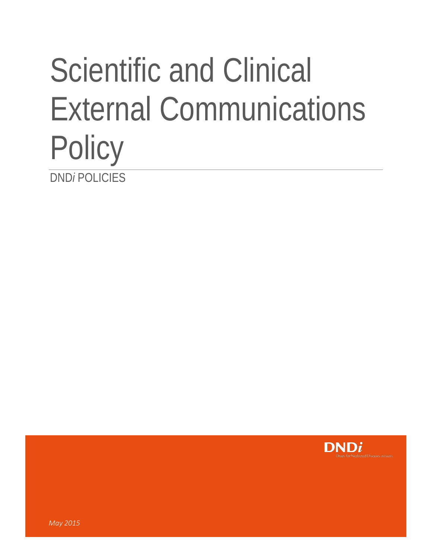## Scientific and Clinical External Communications **Policy** DND*i* POLICIES

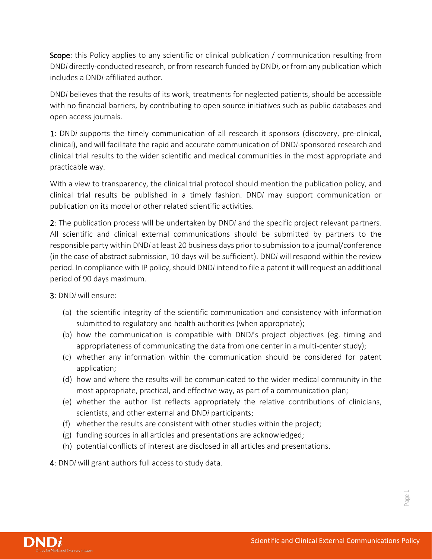Scope: this Policy applies to any scientific or clinical publication / communication resulting from DND*i* directly-conducted research, or from research funded by DND*i*, or from any publication which includes a DND*i*-affiliated author.

DND*i* believes that the results of its work, treatments for neglected patients, should be accessible with no financial barriers, by contributing to open source initiatives such as public databases and open access journals.

1: DND*i* supports the timely communication of all research it sponsors (discovery, pre-clinical, clinical), and will facilitate the rapid and accurate communication of DND*i*-sponsored research and clinical trial results to the wider scientific and medical communities in the most appropriate and practicable way.

With a view to transparency, the clinical trial protocol should mention the publication policy, and clinical trial results be published in a timely fashion. DND*i* may support communication or publication on its model or other related scientific activities.

2: The publication process will be undertaken by DND*i* and the specific project relevant partners. All scientific and clinical external communications should be submitted by partners to the responsible party within DND*i* at least 20 business days prior to submission to a journal/conference (in the case of abstract submission, 10 days will be sufficient). DND*i* will respond within the review period. In compliance with IP policy, should DND*i* intend to file a patent it will request an additional period of 90 days maximum.

3: DND*i* will ensure:

- (a) the scientific integrity of the scientific communication and consistency with information submitted to regulatory and health authorities (when appropriate);
- (b) how the communication is compatible with DND*i*'s project objectives (eg. timing and appropriateness of communicating the data from one center in a multi-center study);
- (c) whether any information within the communication should be considered for patent application;
- (d) how and where the results will be communicated to the wider medical community in the most appropriate, practical, and effective way, as part of a communication plan;
- (e) whether the author list reflects appropriately the relative contributions of clinicians, scientists, and other external and DND*i* participants;
- (f) whether the results are consistent with other studies within the project;
- (g) funding sources in all articles and presentations are acknowledged;
- (h) potential conflicts of interest are disclosed in all articles and presentations.

4: DND*i* will grant authors full access to study data.



Page 1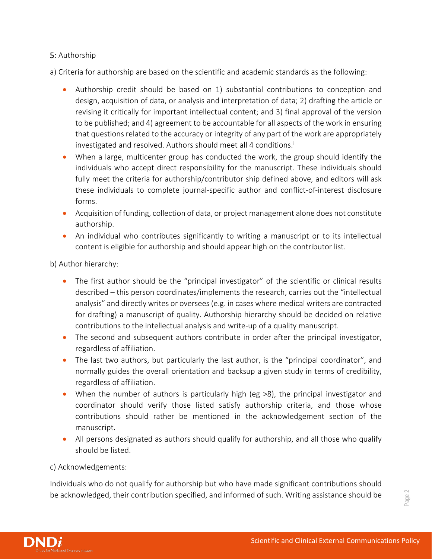## 5: Authorship

a) Criteria for authorship are based on the scientific and academic standards as the following:

- Authorship credit should be based on 1) substantial contributions to conception and design, acquisition of data, or analysis and interpretation of data; 2) drafting the article or revising it critically for important intellectual content; and 3) final approval of the version to be published; and 4) agreement to be accountable for all aspects of the work in ensuring that questions related to the accuracy or integrity of any part of the work are appropriately [i](#page-3-0)nvestigated and resolved. Authors should meet all 4 conditions.<sup>i</sup>
- When a large, multicenter group has conducted the work, the group should identify the individuals who accept direct responsibility for the manuscript. These individuals should fully meet the criteria for authorship/contributor ship defined above, and editors will ask these individuals to complete journal-specific author and conflict-of-interest disclosure forms.
- Acquisition of funding, collection of data, or project management alone does not constitute authorship.
- An individual who contributes significantly to writing a manuscript or to its intellectual content is eligible for authorship and should appear high on the contributor list.

b) Author hierarchy:

- The first author should be the "principal investigator" of the scientific or clinical results described – this person coordinates/implements the research, carries out the "intellectual analysis" and directly writes or oversees (e.g. in cases where medical writers are contracted for drafting) a manuscript of quality. Authorship hierarchy should be decided on relative contributions to the intellectual analysis and write-up of a quality manuscript.
- The second and subsequent authors contribute in order after the principal investigator, regardless of affiliation.
- The last two authors, but particularly the last author, is the "principal coordinator", and normally guides the overall orientation and backsup a given study in terms of credibility, regardless of affiliation.
- When the number of authors is particularly high (eg >8), the principal investigator and coordinator should verify those listed satisfy authorship criteria, and those whose contributions should rather be mentioned in the acknowledgement section of the manuscript.
- All persons designated as authors should qualify for authorship, and all those who qualify should be listed.

## c) Acknowledgements:

Individuals who do not qualify for authorship but who have made significant contributions should be acknowledged, their contribution specified, and informed of such. Writing assistance should be